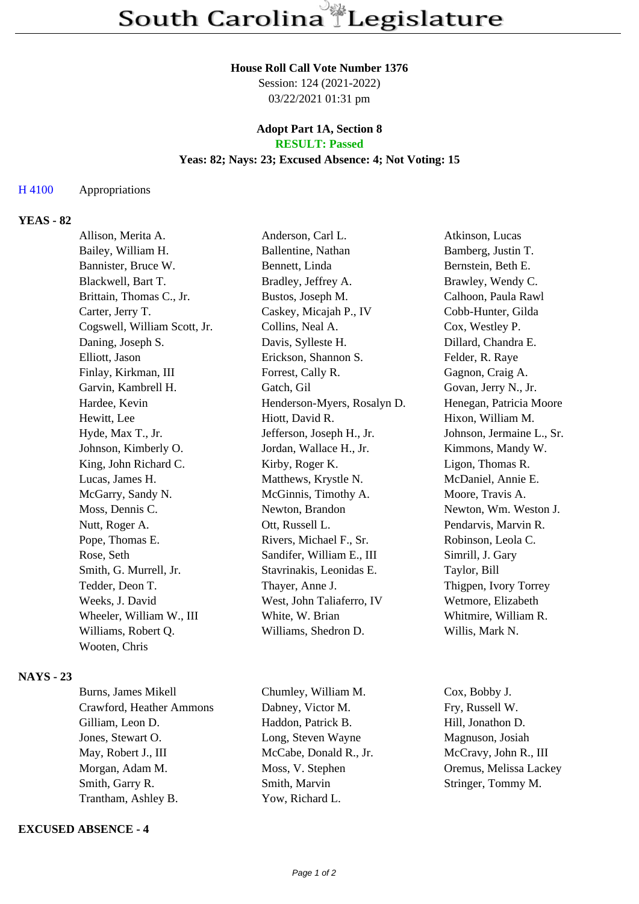### **House Roll Call Vote Number 1376**

Session: 124 (2021-2022) 03/22/2021 01:31 pm

### **Adopt Part 1A, Section 8 RESULT: Passed**

# **Yeas: 82; Nays: 23; Excused Absence: 4; Not Voting: 15**

## H 4100 Appropriations

## **YEAS - 82**

| Allison, Merita A.           | Anderson, Carl L.           | Atkinson, Lucas           |
|------------------------------|-----------------------------|---------------------------|
| Bailey, William H.           | Ballentine, Nathan          | Bamberg, Justin T.        |
| Bannister, Bruce W.          | Bennett, Linda              | Bernstein, Beth E.        |
| Blackwell, Bart T.           | Bradley, Jeffrey A.         | Brawley, Wendy C.         |
| Brittain, Thomas C., Jr.     | Bustos, Joseph M.           | Calhoon, Paula Rawl       |
| Carter, Jerry T.             | Caskey, Micajah P., IV      | Cobb-Hunter, Gilda        |
| Cogswell, William Scott, Jr. | Collins, Neal A.            | Cox, Westley P.           |
| Daning, Joseph S.            | Davis, Sylleste H.          | Dillard, Chandra E.       |
| Elliott, Jason               | Erickson, Shannon S.        | Felder, R. Raye           |
| Finlay, Kirkman, III         | Forrest, Cally R.           | Gagnon, Craig A.          |
| Garvin, Kambrell H.          | Gatch, Gil                  | Govan, Jerry N., Jr.      |
| Hardee, Kevin                | Henderson-Myers, Rosalyn D. | Henegan, Patricia Moore   |
| Hewitt, Lee                  | Hiott, David R.             | Hixon, William M.         |
| Hyde, Max T., Jr.            | Jefferson, Joseph H., Jr.   | Johnson, Jermaine L., Sr. |
| Johnson, Kimberly O.         | Jordan, Wallace H., Jr.     | Kimmons, Mandy W.         |
| King, John Richard C.        | Kirby, Roger K.             | Ligon, Thomas R.          |
| Lucas, James H.              | Matthews, Krystle N.        | McDaniel, Annie E.        |
| McGarry, Sandy N.            | McGinnis, Timothy A.        | Moore, Travis A.          |
| Moss, Dennis C.              | Newton, Brandon             | Newton, Wm. Weston J.     |
| Nutt, Roger A.               | Ott, Russell L.             | Pendarvis, Marvin R.      |
| Pope, Thomas E.              | Rivers, Michael F., Sr.     | Robinson, Leola C.        |
| Rose, Seth                   | Sandifer, William E., III   | Simrill, J. Gary          |
| Smith, G. Murrell, Jr.       | Stavrinakis, Leonidas E.    | Taylor, Bill              |
| Tedder, Deon T.              | Thayer, Anne J.             | Thigpen, Ivory Torrey     |
| Weeks, J. David              | West, John Taliaferro, IV   | Wetmore, Elizabeth        |
| Wheeler, William W., III     | White, W. Brian             | Whitmire, William R.      |
| Williams, Robert Q.          | Williams, Shedron D.        | Willis, Mark N.           |
| Wooten, Chris                |                             |                           |
|                              |                             |                           |

## **NAYS - 23**

| Burns, James Mikell      | Chumley, William M.    | Cox, Bobby J.     |
|--------------------------|------------------------|-------------------|
| Crawford, Heather Ammons | Dabney, Victor M.      | Fry, Russell W.   |
| Gilliam, Leon D.         | Haddon, Patrick B.     | Hill, Jonathon D. |
| Jones, Stewart O.        | Long, Steven Wayne     | Magnuson, Josiah  |
| May, Robert J., III      | McCabe, Donald R., Jr. | McCravy, John R.  |
| Morgan, Adam M.          | Moss, V. Stephen       | Oremus, Melissa l |
| Smith, Garry R.          | Smith, Marvin          | Stringer, Tommy   |
| Trantham, Ashley B.      | Yow, Richard L.        |                   |
|                          |                        |                   |

### **EXCUSED ABSENCE - 4**

y, John R., III Melissa Lackey Tommy M.